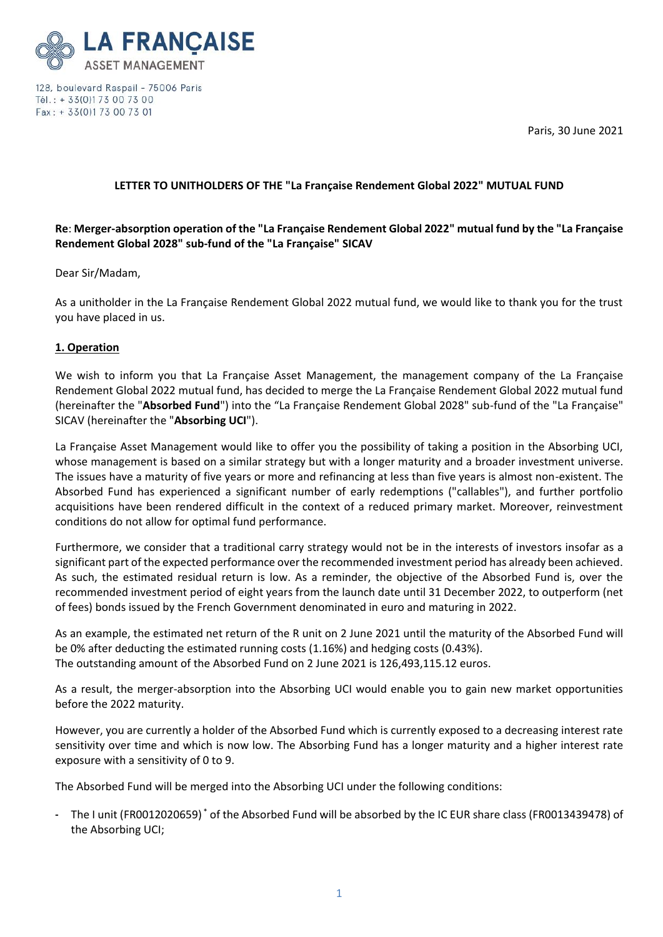Paris, 30 June 2021



128, boulevard Raspail - 75006 Paris Tél.: + 33(0)173 00 73 00 Fax: + 33(0)173 00 73 01

# **LETTER TO UNITHOLDERS OF THE "La Française Rendement Global 2022" MUTUAL FUND**

# **Re**: **Merger-absorption operation of the "La Française Rendement Global 2022" mutual fund by the "La Française Rendement Global 2028" sub-fund of the "La Française" SICAV**

# Dear Sir/Madam,

As a unitholder in the La Française Rendement Global 2022 mutual fund, we would like to thank you for the trust you have placed in us.

# **1. Operation**

We wish to inform you that La Française Asset Management, the management company of the La Française Rendement Global 2022 mutual fund, has decided to merge the La Française Rendement Global 2022 mutual fund (hereinafter the "**Absorbed Fund**") into the "La Française Rendement Global 2028" sub-fund of the "La Française" SICAV (hereinafter the "**Absorbing UCI**").

La Française Asset Management would like to offer you the possibility of taking a position in the Absorbing UCI, whose management is based on a similar strategy but with a longer maturity and a broader investment universe. The issues have a maturity of five years or more and refinancing at less than five years is almost non-existent. The Absorbed Fund has experienced a significant number of early redemptions ("callables"), and further portfolio acquisitions have been rendered difficult in the context of a reduced primary market. Moreover, reinvestment conditions do not allow for optimal fund performance.

Furthermore, we consider that a traditional carry strategy would not be in the interests of investors insofar as a significant part of the expected performance over the recommended investment period has already been achieved. As such, the estimated residual return is low. As a reminder, the objective of the Absorbed Fund is, over the recommended investment period of eight years from the launch date until 31 December 2022, to outperform (net of fees) bonds issued by the French Government denominated in euro and maturing in 2022.

As an example, the estimated net return of the R unit on 2 June 2021 until the maturity of the Absorbed Fund will be 0% after deducting the estimated running costs (1.16%) and hedging costs (0.43%). The outstanding amount of the Absorbed Fund on 2 June 2021 is 126,493,115.12 euros.

As a result, the merger-absorption into the Absorbing UCI would enable you to gain new market opportunities before the 2022 maturity.

However, you are currently a holder of the Absorbed Fund which is currently exposed to a decreasing interest rate sensitivity over time and which is now low. The Absorbing Fund has a longer maturity and a higher interest rate exposure with a sensitivity of 0 to 9.

The Absorbed Fund will be merged into the Absorbing UCI under the following conditions:

- The I unit (FR0012020659)<sup>\*</sup> of the Absorbed Fund will be absorbed by the IC EUR share class (FR0013439478) of the Absorbing UCI;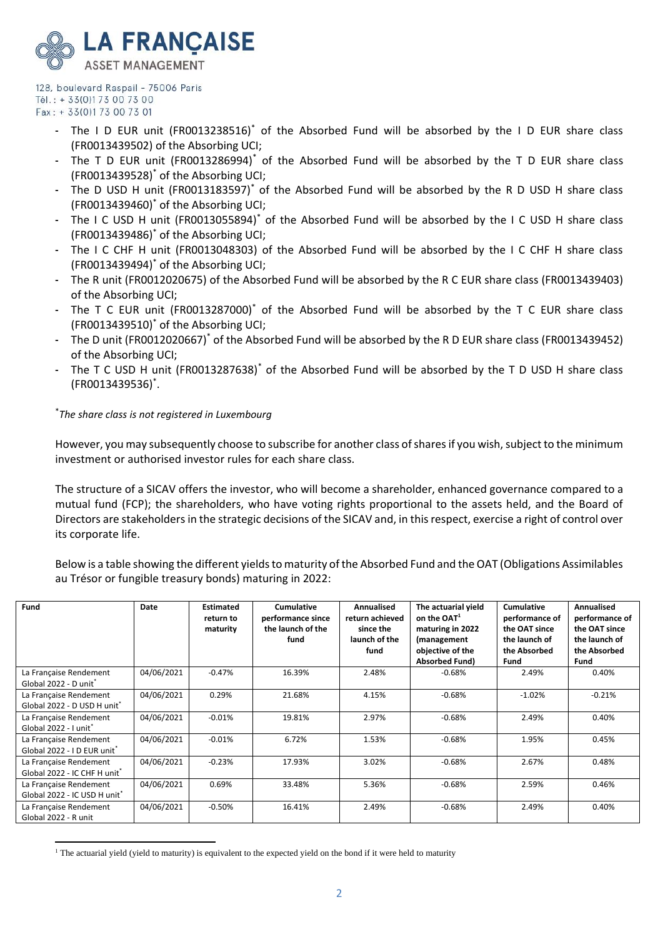

- The I D EUR unit (FR0013238516)\* of the Absorbed Fund will be absorbed by the I D EUR share class (FR0013439502) of the Absorbing UCI;
- The T D EUR unit (FR0013286994)<sup>\*</sup> of the Absorbed Fund will be absorbed by the T D EUR share class (FR0013439528)\* of the Absorbing UCI;
- The D USD H unit (FR0013183597)\* of the Absorbed Fund will be absorbed by the R D USD H share class (FR0013439460)\* of the Absorbing UCI;
- The I C USD H unit (FR0013055894)<sup>\*</sup> of the Absorbed Fund will be absorbed by the I C USD H share class (FR0013439486)\* of the Absorbing UCI;
- The I C CHF H unit (FR0013048303) of the Absorbed Fund will be absorbed by the I C CHF H share class (FR0013439494)\* of the Absorbing UCI;
- The R unit (FR0012020675) of the Absorbed Fund will be absorbed by the R C EUR share class (FR0013439403) of the Absorbing UCI;
- The T C EUR unit (FR0013287000)<sup>\*</sup> of the Absorbed Fund will be absorbed by the T C EUR share class (FR0013439510)\* of the Absorbing UCI;
- The D unit (FR0012020667)\* of the Absorbed Fund will be absorbed by the R D EUR share class (FR0013439452) of the Absorbing UCI;
- The T C USD H unit (FR0013287638)<sup>\*</sup> of the Absorbed Fund will be absorbed by the T D USD H share class (FR0013439536)\* .

# \* *The share class is not registered in Luxembourg*

However, you may subsequently choose to subscribe for another class of shares if you wish, subject to the minimum investment or authorised investor rules for each share class.

The structure of a SICAV offers the investor, who will become a shareholder, enhanced governance compared to a mutual fund (FCP); the shareholders, who have voting rights proportional to the assets held, and the Board of Directors are stakeholders in the strategic decisions of the SICAV and, in this respect, exercise a right of control over its corporate life.

Below is a table showing the different yields to maturity of the Absorbed Fund and the OAT (Obligations Assimilables au Trésor or fungible treasury bonds) maturing in 2022:

| Fund                                                               | Date       | <b>Estimated</b><br>return to<br>maturity | <b>Cumulative</b><br>performance since<br>the launch of the<br>fund | Annualised<br>return achieved<br>since the<br>launch of the<br>fund | The actuarial yield<br>on the OAT <sup>1</sup><br>maturing in 2022<br>(management<br>objective of the<br><b>Absorbed Fund)</b> | <b>Cumulative</b><br>performance of<br>the OAT since<br>the launch of<br>the Absorbed<br>Fund | Annualised<br>performance of<br>the OAT since<br>the launch of<br>the Absorbed<br>Fund |
|--------------------------------------------------------------------|------------|-------------------------------------------|---------------------------------------------------------------------|---------------------------------------------------------------------|--------------------------------------------------------------------------------------------------------------------------------|-----------------------------------------------------------------------------------------------|----------------------------------------------------------------------------------------|
| La Française Rendement<br>Global 2022 - D unit*                    | 04/06/2021 | $-0.47%$                                  | 16.39%                                                              | 2.48%                                                               | $-0.68%$                                                                                                                       | 2.49%                                                                                         | 0.40%                                                                                  |
| La Française Rendement<br>Global 2022 - D USD H unit <sup>*</sup>  | 04/06/2021 | 0.29%                                     | 21.68%                                                              | 4.15%                                                               | $-0.68%$                                                                                                                       | $-1.02%$                                                                                      | $-0.21%$                                                                               |
| La Française Rendement<br>Global 2022 - I unit <sup>*</sup>        | 04/06/2021 | $-0.01%$                                  | 19.81%                                                              | 2.97%                                                               | $-0.68%$                                                                                                                       | 2.49%                                                                                         | 0.40%                                                                                  |
| La Française Rendement<br>Global 2022 - I D EUR unit <sup>*</sup>  | 04/06/2021 | $-0.01%$                                  | 6.72%                                                               | 1.53%                                                               | $-0.68%$                                                                                                                       | 1.95%                                                                                         | 0.45%                                                                                  |
| La Française Rendement<br>Global 2022 - IC CHF H unit <sup>*</sup> | 04/06/2021 | $-0.23%$                                  | 17.93%                                                              | 3.02%                                                               | $-0.68%$                                                                                                                       | 2.67%                                                                                         | 0.48%                                                                                  |
| La Française Rendement<br>Global 2022 - IC USD H unit <sup>*</sup> | 04/06/2021 | 0.69%                                     | 33.48%                                                              | 5.36%                                                               | $-0.68%$                                                                                                                       | 2.59%                                                                                         | 0.46%                                                                                  |
| La Française Rendement<br>Global 2022 - R unit                     | 04/06/2021 | $-0.50%$                                  | 16.41%                                                              | 2.49%                                                               | $-0.68%$                                                                                                                       | 2.49%                                                                                         | 0.40%                                                                                  |

<sup>&</sup>lt;sup>1</sup> The actuarial yield (yield to maturity) is equivalent to the expected yield on the bond if it were held to maturity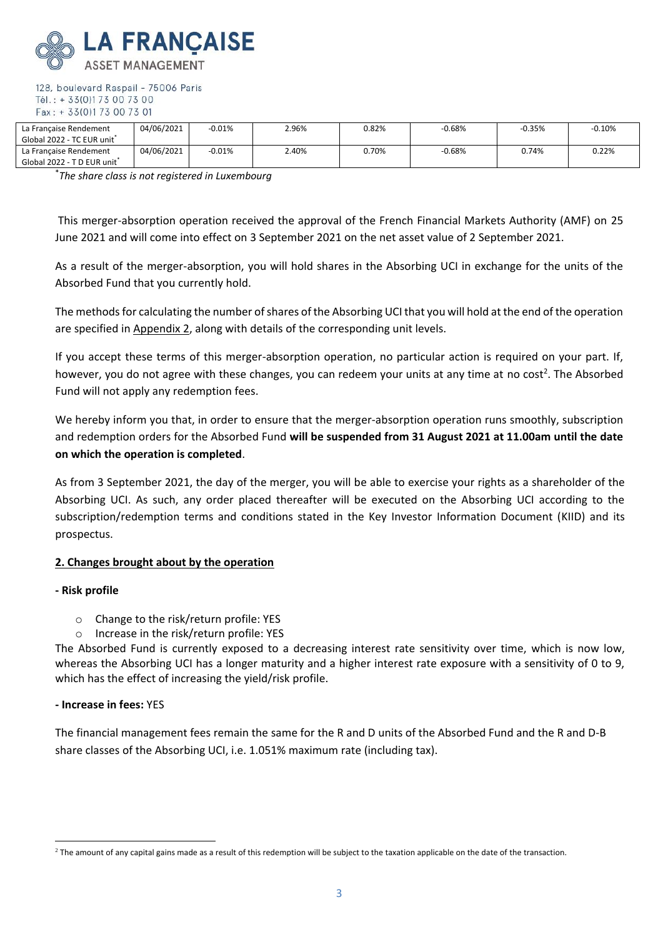

| La Française Rendement<br>Global 2022 - TC EUR unit <sup>*</sup>  | 04/06/2021 | $-0.01%$ | 2.96% | 0.82% | $-0.68%$ | $-0.35%$ | $-0.10%$ |
|-------------------------------------------------------------------|------------|----------|-------|-------|----------|----------|----------|
| La Française Rendement<br>Global 2022 - T D EUR unit <sup>*</sup> | 04/06/2021 | $-0.01%$ | 2.40% | 0.70% | $-0.68%$ | 0.74%    | 0.22%    |

\* *The share class is not registered in Luxembourg*

This merger-absorption operation received the approval of the French Financial Markets Authority (AMF) on 25 June 2021 and will come into effect on 3 September 2021 on the net asset value of 2 September 2021.

As a result of the merger-absorption, you will hold shares in the Absorbing UCI in exchange for the units of the Absorbed Fund that you currently hold.

The methods for calculating the number of shares of the Absorbing UCI that you will hold at the end of the operation are specified in Appendix 2, along with details of the corresponding unit levels.

If you accept these terms of this merger-absorption operation, no particular action is required on your part. If, however, you do not agree with these changes, you can redeem your units at any time at no cost<sup>2</sup>. The Absorbed Fund will not apply any redemption fees.

We hereby inform you that, in order to ensure that the merger-absorption operation runs smoothly, subscription and redemption orders for the Absorbed Fund **will be suspended from 31 August 2021 at 11.00am until the date on which the operation is completed**.

As from 3 September 2021, the day of the merger, you will be able to exercise your rights as a shareholder of the Absorbing UCI. As such, any order placed thereafter will be executed on the Absorbing UCI according to the subscription/redemption terms and conditions stated in the Key Investor Information Document (KIID) and its prospectus.

# **2. Changes brought about by the operation**

#### **- Risk profile**

- o Change to the risk/return profile: YES
- o Increase in the risk/return profile: YES

The Absorbed Fund is currently exposed to a decreasing interest rate sensitivity over time, which is now low, whereas the Absorbing UCI has a longer maturity and a higher interest rate exposure with a sensitivity of 0 to 9, which has the effect of increasing the yield/risk profile.

### **- Increase in fees:** YES

The financial management fees remain the same for the R and D units of the Absorbed Fund and the R and D-B share classes of the Absorbing UCI, i.e. 1.051% maximum rate (including tax).

 $^2$  The amount of any capital gains made as a result of this redemption will be subject to the taxation applicable on the date of the transaction.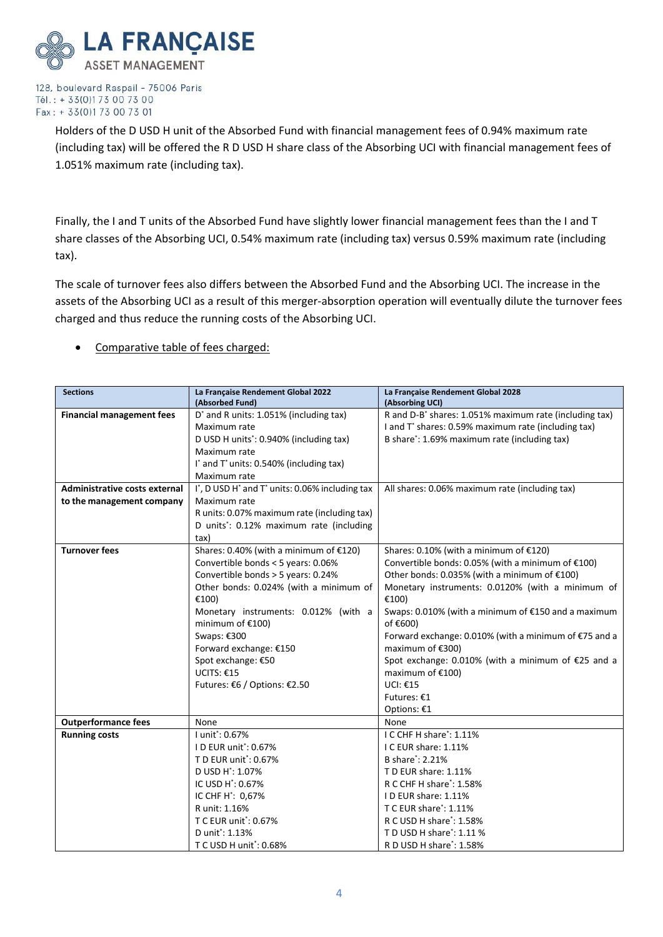

> Holders of the D USD H unit of the Absorbed Fund with financial management fees of 0.94% maximum rate (including tax) will be offered the R D USD H share class of the Absorbing UCI with financial management fees of 1.051% maximum rate (including tax).

> Finally, the I and T units of the Absorbed Fund have slightly lower financial management fees than the I and T share classes of the Absorbing UCI, 0.54% maximum rate (including tax) versus 0.59% maximum rate (including tax).

The scale of turnover fees also differs between the Absorbed Fund and the Absorbing UCI. The increase in the assets of the Absorbing UCI as a result of this merger-absorption operation will eventually dilute the turnover fees charged and thus reduce the running costs of the Absorbing UCI.

• Comparative table of fees charged:

| <b>Sections</b>                  | La Française Rendement Global 2022                                    | La Française Rendement Global 2028                                 |
|----------------------------------|-----------------------------------------------------------------------|--------------------------------------------------------------------|
|                                  | (Absorbed Fund)                                                       | (Absorbing UCI)                                                    |
| <b>Financial management fees</b> | D <sup>*</sup> and R units: 1.051% (including tax)                    | R and D-B <sup>*</sup> shares: 1.051% maximum rate (including tax) |
|                                  | Maximum rate                                                          | I and T* shares: 0.59% maximum rate (including tax)                |
|                                  | D USD H units <sup>*</sup> : 0.940% (including tax)                   | B share*: 1.69% maximum rate (including tax)                       |
|                                  | Maximum rate                                                          |                                                                    |
|                                  | I <sup>*</sup> and T <sup>*</sup> units: 0.540% (including tax)       |                                                                    |
|                                  | Maximum rate                                                          |                                                                    |
| Administrative costs external    | I, D USD H <sup>*</sup> and T <sup>*</sup> units: 0.06% including tax | All shares: 0.06% maximum rate (including tax)                     |
| to the management company        | Maximum rate                                                          |                                                                    |
|                                  | R units: 0.07% maximum rate (including tax)                           |                                                                    |
|                                  | D units*: 0.12% maximum rate (including                               |                                                                    |
|                                  | tax)                                                                  |                                                                    |
| <b>Turnover fees</b>             | Shares: 0.40% (with a minimum of €120)                                | Shares: 0.10% (with a minimum of €120)                             |
|                                  | Convertible bonds < 5 years: 0.06%                                    | Convertible bonds: 0.05% (with a minimum of €100)                  |
|                                  | Convertible bonds > 5 years: 0.24%                                    | Other bonds: 0.035% (with a minimum of €100)                       |
|                                  | Other bonds: 0.024% (with a minimum of                                | Monetary instruments: 0.0120% (with a minimum of                   |
|                                  | £100)                                                                 | €100)                                                              |
|                                  | Monetary instruments: 0.012% (with a                                  | Swaps: 0.010% (with a minimum of €150 and a maximum                |
|                                  | minimum of €100)                                                      | of €600)                                                           |
|                                  | Swaps: €300                                                           | Forward exchange: 0.010% (with a minimum of €75 and a              |
|                                  | Forward exchange: €150                                                | maximum of €300)                                                   |
|                                  | Spot exchange: €50                                                    | Spot exchange: 0.010% (with a minimum of €25 and a                 |
|                                  | UCITS: €15                                                            | maximum of €100)                                                   |
|                                  | Futures: €6 / Options: €2.50                                          | UCI: €15                                                           |
|                                  |                                                                       | Futures: €1                                                        |
|                                  |                                                                       | Options: €1                                                        |
| <b>Outperformance fees</b>       | None                                                                  | None                                                               |
| <b>Running costs</b>             | Lunit <sup>*</sup> : 0.67%                                            | I C CHF H share*: 1.11%                                            |
|                                  | ID EUR unit*: 0.67%                                                   | I C EUR share: 1.11%                                               |
|                                  | T D EUR unit*: 0.67%                                                  | B share <sup>*</sup> : 2.21%                                       |
|                                  | D USD H <sup>*</sup> : 1.07%                                          | TD EUR share: 1.11%                                                |
|                                  | IC USD H <sup>*</sup> : 0.67%                                         | R C CHF H share*: 1.58%                                            |
|                                  | IC CHF H <sup>*</sup> : 0,67%                                         | ID EUR share: 1.11%                                                |
|                                  | R unit: 1.16%                                                         | T C EUR share <sup>*</sup> : 1.11%                                 |
|                                  | T C EUR unit <sup>*</sup> : 0.67%                                     | R C USD H share <sup>*</sup> : 1.58%                               |
|                                  | D unit*: 1.13%                                                        | T D USD H share <sup>*</sup> : 1.11 %                              |
|                                  | T C USD H unit <sup>*</sup> : 0.68%                                   | R D USD H share*: 1.58%                                            |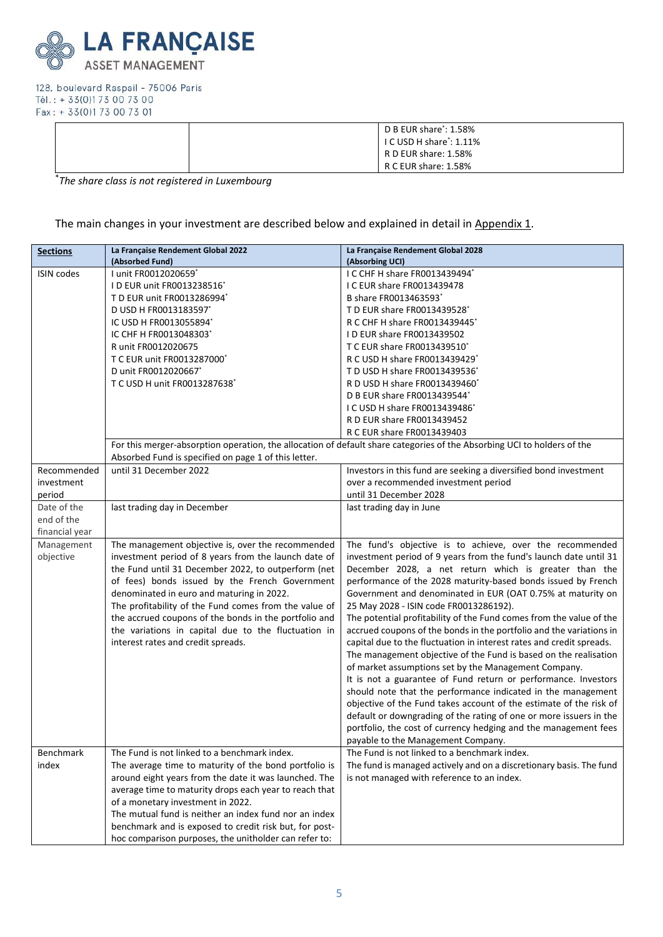

| $\mathsf I$ D B EUR share*: 1.58%<br>$\vert$ I C USD H share': 1.11%<br>RD EUR share: 1.58% |
|---------------------------------------------------------------------------------------------|
| R C EUR share: 1.58%                                                                        |

\* *The share class is not registered in Luxembourg*

The main changes in your investment are described below and explained in detail in Appendix 1.

| <b>Sections</b>   | La Française Rendement Global 2022<br>(Absorbed Fund)  | La Française Rendement Global 2028<br>(Absorbing UCI)                                                                   |
|-------------------|--------------------------------------------------------|-------------------------------------------------------------------------------------------------------------------------|
| <b>ISIN codes</b> | I unit FR0012020659*                                   | I C CHF H share FR0013439494*                                                                                           |
|                   | ID EUR unit FR0013238516*                              | I C EUR share FR0013439478                                                                                              |
|                   | T D EUR unit FR0013286994*                             | B share FR0013463593*                                                                                                   |
|                   | D USD H FR0013183597*                                  | T D EUR share FR0013439528*                                                                                             |
|                   | IC USD H FR0013055894*                                 | R C CHF H share FR0013439445*                                                                                           |
|                   | IC CHF H FR0013048303*                                 | ID EUR share FR0013439502                                                                                               |
|                   | R unit FR0012020675                                    | T C EUR share FR0013439510*                                                                                             |
|                   | T C EUR unit FR0013287000*                             | R C USD H share FR0013439429*                                                                                           |
|                   | D unit FR0012020667*                                   | T D USD H share FR0013439536*                                                                                           |
|                   | T C USD H unit FR0013287638*                           | R D USD H share FR0013439460*                                                                                           |
|                   |                                                        | D B EUR share FR0013439544*                                                                                             |
|                   |                                                        | I C USD H share FR0013439486*                                                                                           |
|                   |                                                        | R D EUR share FR0013439452                                                                                              |
|                   |                                                        | R C EUR share FR0013439403                                                                                              |
|                   | Absorbed Fund is specified on page 1 of this letter.   | For this merger-absorption operation, the allocation of default share categories of the Absorbing UCI to holders of the |
| Recommended       | until 31 December 2022                                 | Investors in this fund are seeking a diversified bond investment                                                        |
| investment        |                                                        | over a recommended investment period                                                                                    |
| period            |                                                        | until 31 December 2028                                                                                                  |
| Date of the       | last trading day in December                           | last trading day in June                                                                                                |
| end of the        |                                                        |                                                                                                                         |
| financial year    |                                                        |                                                                                                                         |
| Management        | The management objective is, over the recommended      | The fund's objective is to achieve, over the recommended                                                                |
| objective         | investment period of 8 years from the launch date of   | investment period of 9 years from the fund's launch date until 31                                                       |
|                   | the Fund until 31 December 2022, to outperform (net    | December 2028, a net return which is greater than the                                                                   |
|                   | of fees) bonds issued by the French Government         | performance of the 2028 maturity-based bonds issued by French                                                           |
|                   | denominated in euro and maturing in 2022.              | Government and denominated in EUR (OAT 0.75% at maturity on                                                             |
|                   | The profitability of the Fund comes from the value of  | 25 May 2028 - ISIN code FR0013286192).                                                                                  |
|                   | the accrued coupons of the bonds in the portfolio and  | The potential profitability of the Fund comes from the value of the                                                     |
|                   | the variations in capital due to the fluctuation in    | accrued coupons of the bonds in the portfolio and the variations in                                                     |
|                   | interest rates and credit spreads.                     | capital due to the fluctuation in interest rates and credit spreads.                                                    |
|                   |                                                        | The management objective of the Fund is based on the realisation                                                        |
|                   |                                                        | of market assumptions set by the Management Company.                                                                    |
|                   |                                                        | It is not a guarantee of Fund return or performance. Investors                                                          |
|                   |                                                        | should note that the performance indicated in the management                                                            |
|                   |                                                        | objective of the Fund takes account of the estimate of the risk of                                                      |
|                   |                                                        | default or downgrading of the rating of one or more issuers in the                                                      |
|                   |                                                        | portfolio, the cost of currency hedging and the management fees                                                         |
|                   |                                                        | payable to the Management Company.                                                                                      |
| Benchmark         | The Fund is not linked to a benchmark index.           | The Fund is not linked to a benchmark index.                                                                            |
| index             | The average time to maturity of the bond portfolio is  | The fund is managed actively and on a discretionary basis. The fund                                                     |
|                   | around eight years from the date it was launched. The  | is not managed with reference to an index.                                                                              |
|                   | average time to maturity drops each year to reach that |                                                                                                                         |
|                   | of a monetary investment in 2022.                      |                                                                                                                         |
|                   | The mutual fund is neither an index fund nor an index  |                                                                                                                         |
|                   | benchmark and is exposed to credit risk but, for post- |                                                                                                                         |
|                   | hoc comparison purposes, the unitholder can refer to:  |                                                                                                                         |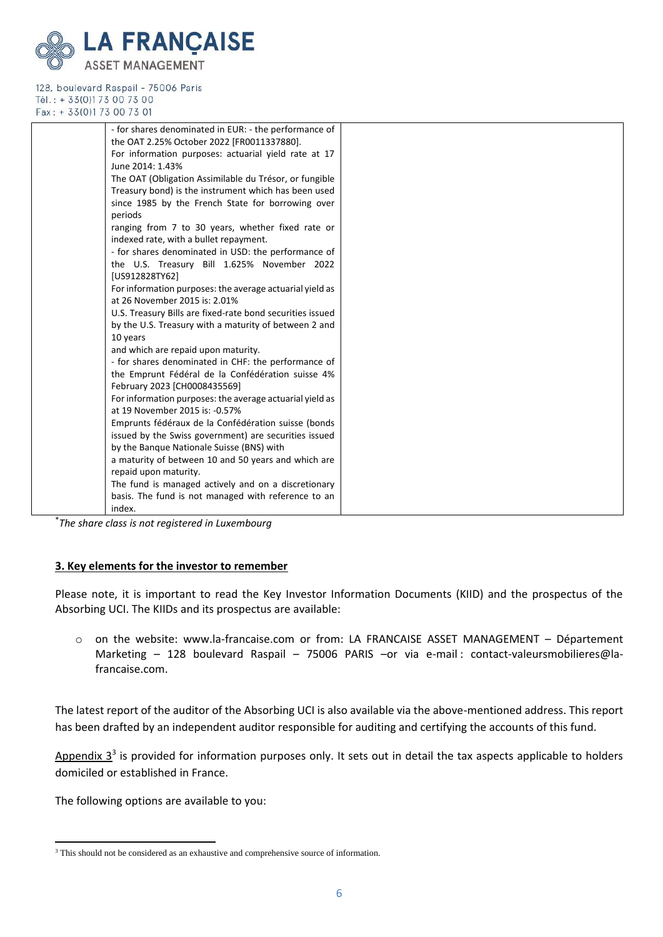

|          | - for shares denominated in EUR: - the performance of     |  |
|----------|-----------------------------------------------------------|--|
|          | the OAT 2.25% October 2022 [FR0011337880].                |  |
|          | For information purposes: actuarial yield rate at 17      |  |
|          | June 2014: 1.43%                                          |  |
|          | The OAT (Obligation Assimilable du Trésor, or fungible    |  |
|          | Treasury bond) is the instrument which has been used      |  |
|          | since 1985 by the French State for borrowing over         |  |
|          | periods                                                   |  |
|          | ranging from 7 to 30 years, whether fixed rate or         |  |
|          | indexed rate, with a bullet repayment.                    |  |
|          | - for shares denominated in USD: the performance of       |  |
|          | the U.S. Treasury Bill 1.625% November 2022               |  |
|          | [US912828TY62]                                            |  |
|          | For information purposes: the average actuarial yield as  |  |
|          | at 26 November 2015 is: 2.01%                             |  |
|          | U.S. Treasury Bills are fixed-rate bond securities issued |  |
|          | by the U.S. Treasury with a maturity of between 2 and     |  |
|          | 10 years                                                  |  |
|          | and which are repaid upon maturity.                       |  |
|          | - for shares denominated in CHF: the performance of       |  |
|          | the Emprunt Fédéral de la Confédération suisse 4%         |  |
|          | February 2023 [CH0008435569]                              |  |
|          | For information purposes: the average actuarial yield as  |  |
|          | at 19 November 2015 is: -0.57%                            |  |
|          | Emprunts fédéraux de la Confédération suisse (bonds       |  |
|          | issued by the Swiss government) are securities issued     |  |
|          | by the Banque Nationale Suisse (BNS) with                 |  |
|          | a maturity of between 10 and 50 years and which are       |  |
|          | repaid upon maturity.                                     |  |
|          | The fund is managed actively and on a discretionary       |  |
|          | basis. The fund is not managed with reference to an       |  |
| $*_{-1}$ | index.                                                    |  |
|          | .                                                         |  |

\* *The share class is not registered in Luxembourg*

#### **3. Key elements for the investor to remember**

Please note, it is important to read the Key Investor Information Documents (KIID) and the prospectus of the Absorbing UCI. The KIIDs and its prospectus are available:

o on the website: [www.la-francaise.com](http://www.la-francaise.com/) or from: LA FRANCAISE ASSET MANAGEMENT – Département Marketing – 128 boulevard Raspail – 75006 PARIS –or via e-mail : [contact-valeursmobilieres@la](mailto:contact-valeursmobilieres@la-francaise.com)[francaise.com.](mailto:contact-valeursmobilieres@la-francaise.com)

The latest report of the auditor of the Absorbing UCI is also available via the above-mentioned address. This report has been drafted by an independent auditor responsible for auditing and certifying the accounts of this fund.

Appendix  $3<sup>3</sup>$  is provided for information purposes only. It sets out in detail the tax aspects applicable to holders domiciled or established in France.

The following options are available to you:

<sup>&</sup>lt;sup>3</sup> This should not be considered as an exhaustive and comprehensive source of information.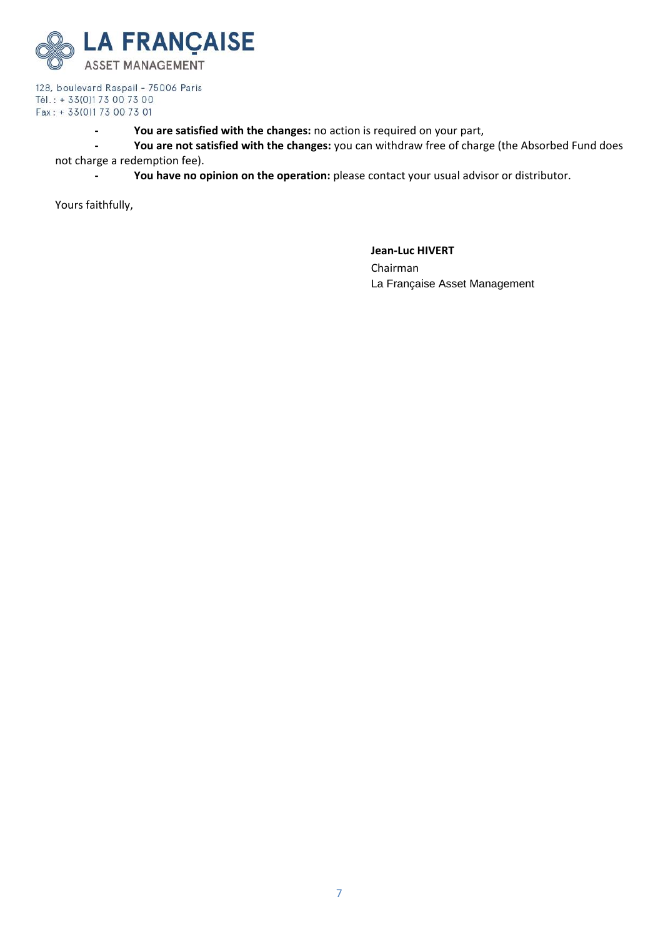

**- You are satisfied with the changes:** no action is required on your part,

**- You are not satisfied with the changes:** you can withdraw free of charge (the Absorbed Fund does not charge a redemption fee).

**- You have no opinion on the operation:** please contact your usual advisor or distributor.

Yours faithfully,

**Jean-Luc HIVERT**  Chairman La Française Asset Management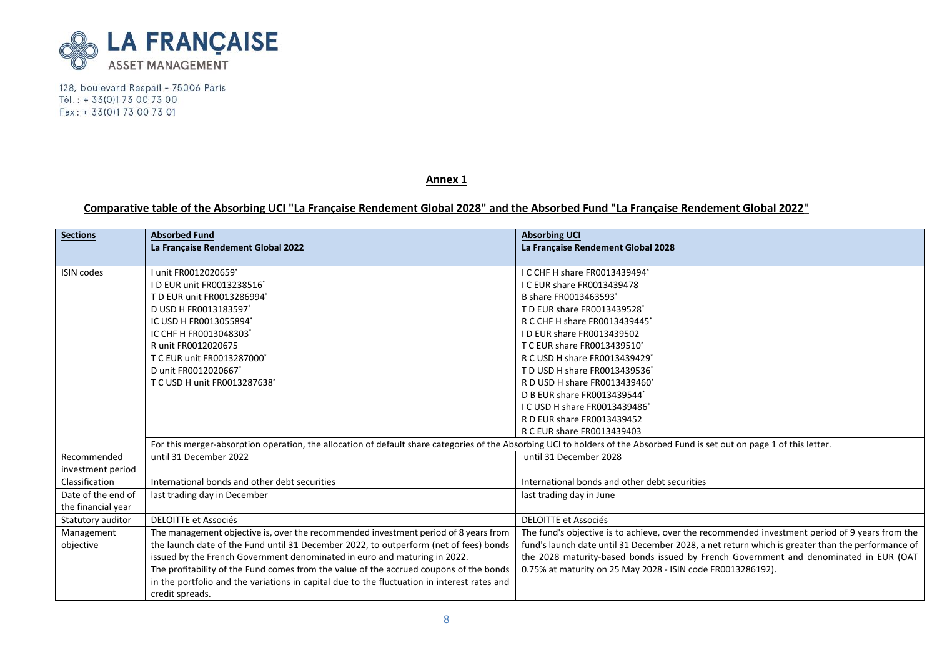

**Annex 1**

# **Comparative table of the Absorbing UCI "La Française Rendement Global 2028" and the Absorbed Fund "La Française Rendement Global 2022"**

| <b>Sections</b>    | <b>Absorbed Fund</b><br>La Française Rendement Global 2022                                                                                                                 | <b>Absorbing UCI</b><br>La Française Rendement Global 2028                                       |
|--------------------|----------------------------------------------------------------------------------------------------------------------------------------------------------------------------|--------------------------------------------------------------------------------------------------|
| <b>ISIN codes</b>  | unit FR0012020659*                                                                                                                                                         | I C CHF H share FR0013439494'                                                                    |
|                    | D EUR unit FR0013238516*                                                                                                                                                   | I C EUR share FR0013439478                                                                       |
|                    | T D EUR unit FR0013286994*                                                                                                                                                 | B share FR0013463593*                                                                            |
|                    | D USD H FR0013183597*                                                                                                                                                      | T D EUR share FR0013439528*                                                                      |
|                    | IC USD H FR0013055894*                                                                                                                                                     | R C CHF H share FR0013439445*                                                                    |
|                    | IC CHF H FR0013048303*                                                                                                                                                     | ID EUR share FR0013439502                                                                        |
|                    | R unit FR0012020675                                                                                                                                                        | T C EUR share FR0013439510*                                                                      |
|                    | T C EUR unit FR0013287000                                                                                                                                                  | R C USD H share FR0013439429*                                                                    |
|                    | D unit FR0012020667*                                                                                                                                                       | T D USD H share FR0013439536*                                                                    |
|                    | T C USD H unit FR0013287638*                                                                                                                                               | R D USD H share FR0013439460*                                                                    |
|                    |                                                                                                                                                                            | D B EUR share FR0013439544*                                                                      |
|                    |                                                                                                                                                                            | I C USD H share FR0013439486*                                                                    |
|                    |                                                                                                                                                                            | R D EUR share FR0013439452                                                                       |
|                    |                                                                                                                                                                            | R C EUR share FR0013439403                                                                       |
|                    | For this merger-absorption operation, the allocation of default share categories of the Absorbing UCI to holders of the Absorbed Fund is set out on page 1 of this letter. |                                                                                                  |
| Recommended        | until 31 December 2022                                                                                                                                                     | until 31 December 2028                                                                           |
| investment period  |                                                                                                                                                                            |                                                                                                  |
| Classification     | International bonds and other debt securities                                                                                                                              | International bonds and other debt securities                                                    |
| Date of the end of | last trading day in December                                                                                                                                               | last trading day in June                                                                         |
| the financial year |                                                                                                                                                                            |                                                                                                  |
| Statutory auditor  | <b>DELOITTE et Associés</b>                                                                                                                                                | <b>DELOITTE et Associés</b>                                                                      |
| Management         | The management objective is, over the recommended investment period of 8 years from                                                                                        | The fund's objective is to achieve, over the recommended investment period of 9 years from the   |
| objective          | the launch date of the Fund until 31 December 2022, to outperform (net of fees) bonds                                                                                      | fund's launch date until 31 December 2028, a net return which is greater than the performance of |
|                    | issued by the French Government denominated in euro and maturing in 2022.                                                                                                  | the 2028 maturity-based bonds issued by French Government and denominated in EUR (OAT            |
|                    | The profitability of the Fund comes from the value of the accrued coupons of the bonds                                                                                     | 0.75% at maturity on 25 May 2028 - ISIN code FR0013286192).                                      |
|                    | in the portfolio and the variations in capital due to the fluctuation in interest rates and                                                                                |                                                                                                  |
|                    | credit spreads.                                                                                                                                                            |                                                                                                  |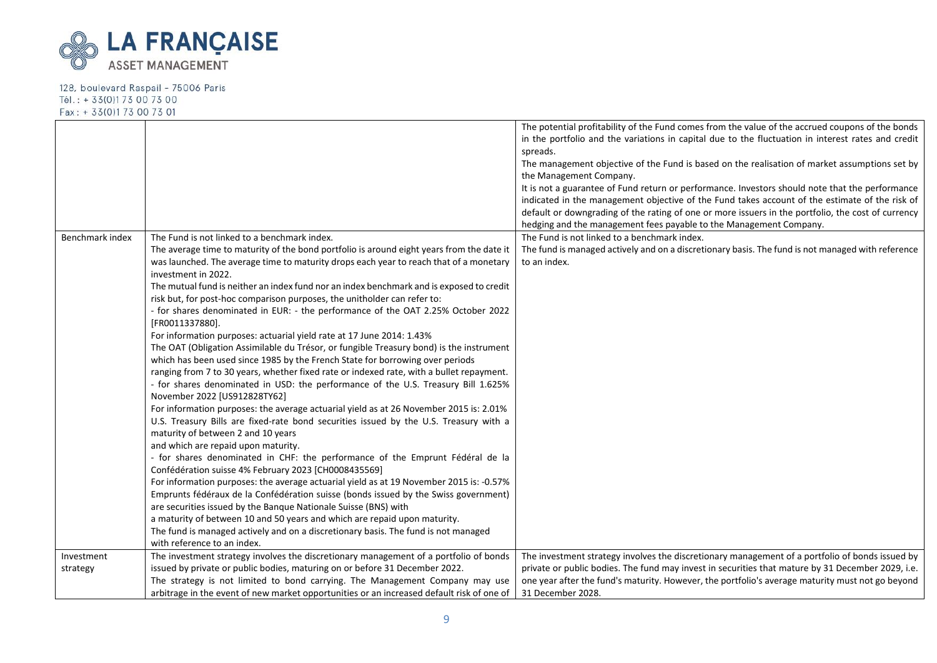

|                 |                                                                                                                                                                           | The potential profitability of the Fund comes from the value of the accrued coupons of the bonds<br>in the portfolio and the variations in capital due to the fluctuation in interest rates and credit<br>spreads. |
|-----------------|---------------------------------------------------------------------------------------------------------------------------------------------------------------------------|--------------------------------------------------------------------------------------------------------------------------------------------------------------------------------------------------------------------|
|                 |                                                                                                                                                                           | The management objective of the Fund is based on the realisation of market assumptions set by<br>the Management Company.                                                                                           |
|                 |                                                                                                                                                                           | It is not a guarantee of Fund return or performance. Investors should note that the performance                                                                                                                    |
|                 |                                                                                                                                                                           | indicated in the management objective of the Fund takes account of the estimate of the risk of                                                                                                                     |
|                 |                                                                                                                                                                           | default or downgrading of the rating of one or more issuers in the portfolio, the cost of currency                                                                                                                 |
|                 |                                                                                                                                                                           | hedging and the management fees payable to the Management Company.                                                                                                                                                 |
| Benchmark index | The Fund is not linked to a benchmark index.                                                                                                                              | The Fund is not linked to a benchmark index.                                                                                                                                                                       |
|                 | The average time to maturity of the bond portfolio is around eight years from the date it                                                                                 | The fund is managed actively and on a discretionary basis. The fund is not managed with reference                                                                                                                  |
|                 | was launched. The average time to maturity drops each year to reach that of a monetary                                                                                    | to an index.                                                                                                                                                                                                       |
|                 | investment in 2022.                                                                                                                                                       |                                                                                                                                                                                                                    |
|                 | The mutual fund is neither an index fund nor an index benchmark and is exposed to credit                                                                                  |                                                                                                                                                                                                                    |
|                 | risk but, for post-hoc comparison purposes, the unitholder can refer to:                                                                                                  |                                                                                                                                                                                                                    |
|                 | - for shares denominated in EUR: - the performance of the OAT 2.25% October 2022                                                                                          |                                                                                                                                                                                                                    |
|                 | [FR0011337880].                                                                                                                                                           |                                                                                                                                                                                                                    |
|                 | For information purposes: actuarial yield rate at 17 June 2014: 1.43%                                                                                                     |                                                                                                                                                                                                                    |
|                 | The OAT (Obligation Assimilable du Trésor, or fungible Treasury bond) is the instrument                                                                                   |                                                                                                                                                                                                                    |
|                 | which has been used since 1985 by the French State for borrowing over periods<br>ranging from 7 to 30 years, whether fixed rate or indexed rate, with a bullet repayment. |                                                                                                                                                                                                                    |
|                 | - for shares denominated in USD: the performance of the U.S. Treasury Bill 1.625%                                                                                         |                                                                                                                                                                                                                    |
|                 | November 2022 [US912828TY62]                                                                                                                                              |                                                                                                                                                                                                                    |
|                 | For information purposes: the average actuarial yield as at 26 November 2015 is: 2.01%                                                                                    |                                                                                                                                                                                                                    |
|                 | U.S. Treasury Bills are fixed-rate bond securities issued by the U.S. Treasury with a                                                                                     |                                                                                                                                                                                                                    |
|                 | maturity of between 2 and 10 years                                                                                                                                        |                                                                                                                                                                                                                    |
|                 | and which are repaid upon maturity.                                                                                                                                       |                                                                                                                                                                                                                    |
|                 | - for shares denominated in CHF: the performance of the Emprunt Fédéral de la                                                                                             |                                                                                                                                                                                                                    |
|                 | Confédération suisse 4% February 2023 [CH0008435569]                                                                                                                      |                                                                                                                                                                                                                    |
|                 | For information purposes: the average actuarial yield as at 19 November 2015 is: -0.57%                                                                                   |                                                                                                                                                                                                                    |
|                 | Emprunts fédéraux de la Confédération suisse (bonds issued by the Swiss government)                                                                                       |                                                                                                                                                                                                                    |
|                 | are securities issued by the Banque Nationale Suisse (BNS) with                                                                                                           |                                                                                                                                                                                                                    |
|                 | a maturity of between 10 and 50 years and which are repaid upon maturity.                                                                                                 |                                                                                                                                                                                                                    |
|                 | The fund is managed actively and on a discretionary basis. The fund is not managed                                                                                        |                                                                                                                                                                                                                    |
|                 | with reference to an index.                                                                                                                                               |                                                                                                                                                                                                                    |
| Investment      | The investment strategy involves the discretionary management of a portfolio of bonds                                                                                     | The investment strategy involves the discretionary management of a portfolio of bonds issued by                                                                                                                    |
| strategy        | issued by private or public bodies, maturing on or before 31 December 2022.                                                                                               | private or public bodies. The fund may invest in securities that mature by 31 December 2029, i.e.                                                                                                                  |
|                 | The strategy is not limited to bond carrying. The Management Company may use                                                                                              | one year after the fund's maturity. However, the portfolio's average maturity must not go beyond                                                                                                                   |
|                 | arbitrage in the event of new market opportunities or an increased default risk of one of                                                                                 | 31 December 2028.                                                                                                                                                                                                  |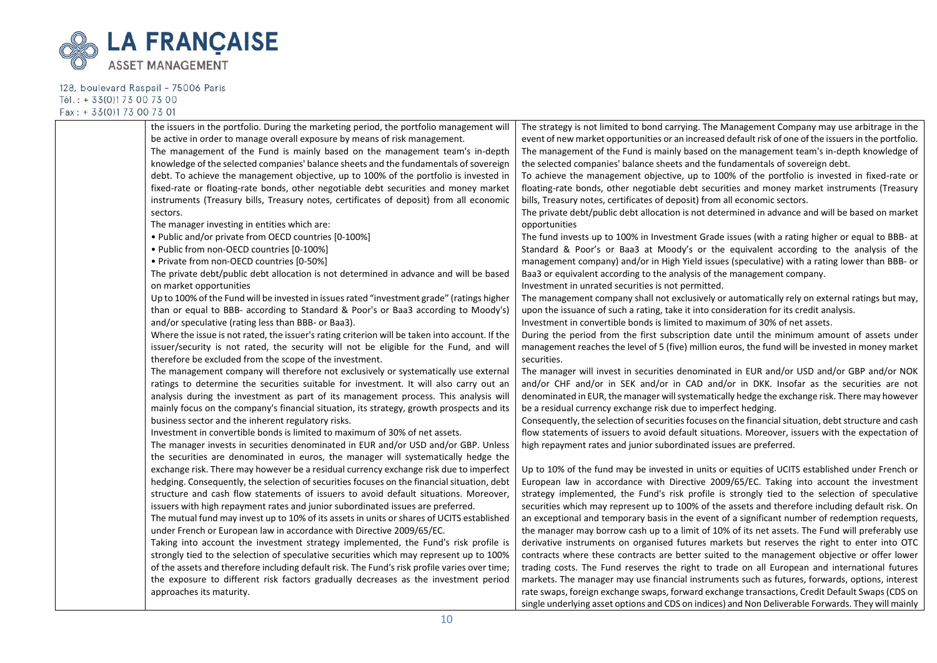

| the issuers in the portfolio. During the marketing period, the portfolio management will       | The strategy is not limited to bond carrying. The Management Company may use arbitrage in the          |
|------------------------------------------------------------------------------------------------|--------------------------------------------------------------------------------------------------------|
| be active in order to manage overall exposure by means of risk management.                     | event of new market opportunities or an increased default risk of one of the issuers in the portfolio. |
| The management of the Fund is mainly based on the management team's in-depth                   | The management of the Fund is mainly based on the management team's in-depth knowledge of              |
| knowledge of the selected companies' balance sheets and the fundamentals of sovereign          | the selected companies' balance sheets and the fundamentals of sovereign debt.                         |
| debt. To achieve the management objective, up to 100% of the portfolio is invested in          | To achieve the management objective, up to 100% of the portfolio is invested in fixed-rate or          |
| fixed-rate or floating-rate bonds, other negotiable debt securities and money market           | floating-rate bonds, other negotiable debt securities and money market instruments (Treasury           |
| instruments (Treasury bills, Treasury notes, certificates of deposit) from all economic        | bills, Treasury notes, certificates of deposit) from all economic sectors.                             |
| sectors.                                                                                       | The private debt/public debt allocation is not determined in advance and will be based on market       |
| The manager investing in entities which are:                                                   | opportunities                                                                                          |
| . Public and/or private from OECD countries [0-100%]                                           | The fund invests up to 100% in Investment Grade issues (with a rating higher or equal to BBB- at       |
| . Public from non-OECD countries [0-100%]                                                      | Standard & Poor's or Baa3 at Moody's or the equivalent according to the analysis of the                |
| • Private from non-OECD countries [0-50%]                                                      | management company) and/or in High Yield issues (speculative) with a rating lower than BBB- or         |
| The private debt/public debt allocation is not determined in advance and will be based         | Baa3 or equivalent according to the analysis of the management company.                                |
| on market opportunities                                                                        | Investment in unrated securities is not permitted.                                                     |
| Up to 100% of the Fund will be invested in issues rated "investment grade" (ratings higher     | The management company shall not exclusively or automatically rely on external ratings but may,        |
| than or equal to BBB- according to Standard & Poor's or Baa3 according to Moody's)             | upon the issuance of such a rating, take it into consideration for its credit analysis.                |
| and/or speculative (rating less than BBB- or Baa3).                                            | Investment in convertible bonds is limited to maximum of 30% of net assets.                            |
| Where the issue is not rated, the issuer's rating criterion will be taken into account. If the | During the period from the first subscription date until the minimum amount of assets under            |
| issuer/security is not rated, the security will not be eligible for the Fund, and will         | management reaches the level of 5 (five) million euros, the fund will be invested in money market      |
| therefore be excluded from the scope of the investment.                                        | securities.                                                                                            |
| The management company will therefore not exclusively or systematically use external           | The manager will invest in securities denominated in EUR and/or USD and/or GBP and/or NOK              |
| ratings to determine the securities suitable for investment. It will also carry out an         | and/or CHF and/or in SEK and/or in CAD and/or in DKK. Insofar as the securities are not                |
| analysis during the investment as part of its management process. This analysis will           | denominated in EUR, the manager will systematically hedge the exchange risk. There may however         |
| mainly focus on the company's financial situation, its strategy, growth prospects and its      | be a residual currency exchange risk due to imperfect hedging.                                         |
| business sector and the inherent regulatory risks.                                             | Consequently, the selection of securities focuses on the financial situation, debt structure and cash  |
| Investment in convertible bonds is limited to maximum of 30% of net assets.                    | flow statements of issuers to avoid default situations. Moreover, issuers with the expectation of      |
| The manager invests in securities denominated in EUR and/or USD and/or GBP. Unless             | high repayment rates and junior subordinated issues are preferred.                                     |
| the securities are denominated in euros, the manager will systematically hedge the             |                                                                                                        |
| exchange risk. There may however be a residual currency exchange risk due to imperfect         | Up to 10% of the fund may be invested in units or equities of UCITS established under French or        |
| hedging. Consequently, the selection of securities focuses on the financial situation, debt    | European law in accordance with Directive 2009/65/EC. Taking into account the investment               |
| structure and cash flow statements of issuers to avoid default situations. Moreover,           | strategy implemented, the Fund's risk profile is strongly tied to the selection of speculative         |
| issuers with high repayment rates and junior subordinated issues are preferred.                | securities which may represent up to 100% of the assets and therefore including default risk. On       |
| The mutual fund may invest up to 10% of its assets in units or shares of UCITS established     | an exceptional and temporary basis in the event of a significant number of redemption requests,        |
| under French or European law in accordance with Directive 2009/65/EC.                          | the manager may borrow cash up to a limit of 10% of its net assets. The Fund will preferably use       |
| Taking into account the investment strategy implemented, the Fund's risk profile is            | derivative instruments on organised futures markets but reserves the right to enter into OTC           |
| strongly tied to the selection of speculative securities which may represent up to 100%        | contracts where these contracts are better suited to the management objective or offer lower           |
| of the assets and therefore including default risk. The Fund's risk profile varies over time;  | trading costs. The Fund reserves the right to trade on all European and international futures          |
| the exposure to different risk factors gradually decreases as the investment period            | markets. The manager may use financial instruments such as futures, forwards, options, interest        |
| approaches its maturity.                                                                       | rate swaps, foreign exchange swaps, forward exchange transactions, Credit Default Swaps (CDS on        |
|                                                                                                | single underlying asset options and CDS on indices) and Non Deliverable Forwards. They will mainly     |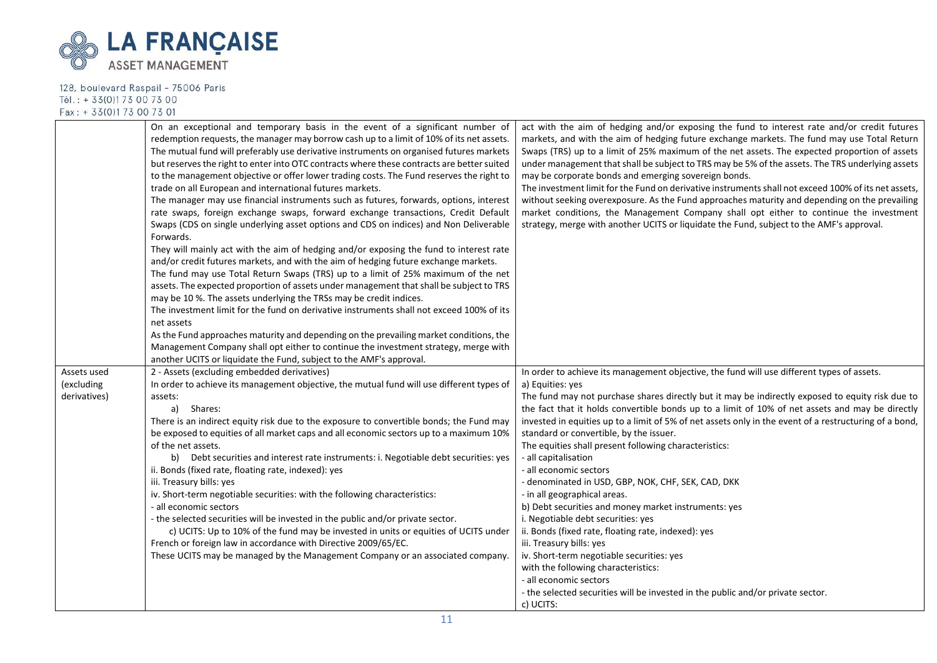

|                            | On an exceptional and temporary basis in the event of a significant number of<br>redemption requests, the manager may borrow cash up to a limit of 10% of its net assets.<br>The mutual fund will preferably use derivative instruments on organised futures markets<br>but reserves the right to enter into OTC contracts where these contracts are better suited<br>to the management objective or offer lower trading costs. The Fund reserves the right to<br>trade on all European and international futures markets.<br>The manager may use financial instruments such as futures, forwards, options, interest<br>rate swaps, foreign exchange swaps, forward exchange transactions, Credit Default<br>Swaps (CDS on single underlying asset options and CDS on indices) and Non Deliverable<br>Forwards.<br>They will mainly act with the aim of hedging and/or exposing the fund to interest rate<br>and/or credit futures markets, and with the aim of hedging future exchange markets.<br>The fund may use Total Return Swaps (TRS) up to a limit of 25% maximum of the net<br>assets. The expected proportion of assets under management that shall be subject to TRS<br>may be 10 %. The assets underlying the TRSs may be credit indices.<br>The investment limit for the fund on derivative instruments shall not exceed 100% of its<br>net assets<br>As the Fund approaches maturity and depending on the prevailing market conditions, the<br>Management Company shall opt either to continue the investment strategy, merge with<br>another UCITS or liquidate the Fund, subject to the AMF's approval. | act with the aim of hedging and/or exposing the fund to interest rate and/or credit futures<br>markets, and with the aim of hedging future exchange markets. The fund may use Total Return<br>Swaps (TRS) up to a limit of 25% maximum of the net assets. The expected proportion of assets<br>under management that shall be subject to TRS may be 5% of the assets. The TRS underlying assets<br>may be corporate bonds and emerging sovereign bonds.<br>The investment limit for the Fund on derivative instruments shall not exceed 100% of its net assets,<br>without seeking overexposure. As the Fund approaches maturity and depending on the prevailing<br>market conditions, the Management Company shall opt either to continue the investment<br>strategy, merge with another UCITS or liquidate the Fund, subject to the AMF's approval.                                                                                                                        |
|----------------------------|--------------------------------------------------------------------------------------------------------------------------------------------------------------------------------------------------------------------------------------------------------------------------------------------------------------------------------------------------------------------------------------------------------------------------------------------------------------------------------------------------------------------------------------------------------------------------------------------------------------------------------------------------------------------------------------------------------------------------------------------------------------------------------------------------------------------------------------------------------------------------------------------------------------------------------------------------------------------------------------------------------------------------------------------------------------------------------------------------------------------------------------------------------------------------------------------------------------------------------------------------------------------------------------------------------------------------------------------------------------------------------------------------------------------------------------------------------------------------------------------------------------------------------------------------------------------------------------------------------------------------|------------------------------------------------------------------------------------------------------------------------------------------------------------------------------------------------------------------------------------------------------------------------------------------------------------------------------------------------------------------------------------------------------------------------------------------------------------------------------------------------------------------------------------------------------------------------------------------------------------------------------------------------------------------------------------------------------------------------------------------------------------------------------------------------------------------------------------------------------------------------------------------------------------------------------------------------------------------------------|
| Assets used                | 2 - Assets (excluding embedded derivatives)                                                                                                                                                                                                                                                                                                                                                                                                                                                                                                                                                                                                                                                                                                                                                                                                                                                                                                                                                                                                                                                                                                                                                                                                                                                                                                                                                                                                                                                                                                                                                                              | In order to achieve its management objective, the fund will use different types of assets.                                                                                                                                                                                                                                                                                                                                                                                                                                                                                                                                                                                                                                                                                                                                                                                                                                                                                   |
| (excluding<br>derivatives) | In order to achieve its management objective, the mutual fund will use different types of<br>assets:<br>a)<br>Shares:<br>There is an indirect equity risk due to the exposure to convertible bonds; the Fund may<br>be exposed to equities of all market caps and all economic sectors up to a maximum 10%<br>of the net assets.<br>b) Debt securities and interest rate instruments: i. Negotiable debt securities: yes<br>ii. Bonds (fixed rate, floating rate, indexed): yes<br>iii. Treasury bills: yes<br>iv. Short-term negotiable securities: with the following characteristics:<br>- all economic sectors<br>- the selected securities will be invested in the public and/or private sector.<br>c) UCITS: Up to 10% of the fund may be invested in units or equities of UCITS under<br>French or foreign law in accordance with Directive 2009/65/EC.<br>These UCITS may be managed by the Management Company or an associated company.                                                                                                                                                                                                                                                                                                                                                                                                                                                                                                                                                                                                                                                                         | a) Equities: yes<br>The fund may not purchase shares directly but it may be indirectly exposed to equity risk due to<br>the fact that it holds convertible bonds up to a limit of 10% of net assets and may be directly<br>invested in equities up to a limit of 5% of net assets only in the event of a restructuring of a bond,<br>standard or convertible, by the issuer.<br>The equities shall present following characteristics:<br>- all capitalisation<br>- all economic sectors<br>- denominated in USD, GBP, NOK, CHF, SEK, CAD, DKK<br>- in all geographical areas.<br>b) Debt securities and money market instruments: yes<br>i. Negotiable debt securities: yes<br>ii. Bonds (fixed rate, floating rate, indexed): yes<br>iii. Treasury bills: yes<br>iv. Short-term negotiable securities: yes<br>with the following characteristics:<br>- all economic sectors<br>- the selected securities will be invested in the public and/or private sector.<br>c) UCITS: |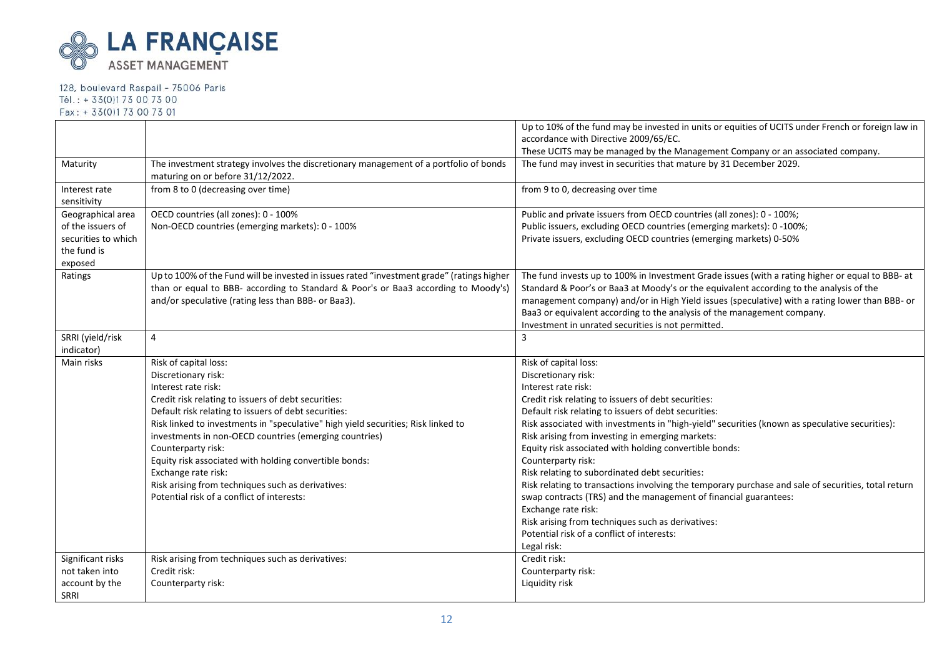

|                     |                                                                                                                            | Up to 10% of the fund may be invested in units or equities of UCITS under French or foreign law in  |
|---------------------|----------------------------------------------------------------------------------------------------------------------------|-----------------------------------------------------------------------------------------------------|
|                     |                                                                                                                            | accordance with Directive 2009/65/EC.                                                               |
|                     |                                                                                                                            | These UCITS may be managed by the Management Company or an associated company.                      |
| Maturity            | The investment strategy involves the discretionary management of a portfolio of bonds<br>maturing on or before 31/12/2022. | The fund may invest in securities that mature by 31 December 2029.                                  |
| Interest rate       | from 8 to 0 (decreasing over time)                                                                                         | from 9 to 0, decreasing over time                                                                   |
| sensitivity         |                                                                                                                            |                                                                                                     |
| Geographical area   | OECD countries (all zones): 0 - 100%                                                                                       | Public and private issuers from OECD countries (all zones): 0 - 100%;                               |
| of the issuers of   | Non-OECD countries (emerging markets): 0 - 100%                                                                            | Public issuers, excluding OECD countries (emerging markets): 0 -100%;                               |
| securities to which |                                                                                                                            | Private issuers, excluding OECD countries (emerging markets) 0-50%                                  |
| the fund is         |                                                                                                                            |                                                                                                     |
| exposed             |                                                                                                                            |                                                                                                     |
| Ratings             | Up to 100% of the Fund will be invested in issues rated "investment grade" (ratings higher                                 | The fund invests up to 100% in Investment Grade issues (with a rating higher or equal to BBB- at    |
|                     | than or equal to BBB- according to Standard & Poor's or Baa3 according to Moody's)                                         | Standard & Poor's or Baa3 at Moody's or the equivalent according to the analysis of the             |
|                     | and/or speculative (rating less than BBB- or Baa3).                                                                        | management company) and/or in High Yield issues (speculative) with a rating lower than BBB- or      |
|                     |                                                                                                                            | Baa3 or equivalent according to the analysis of the management company.                             |
|                     |                                                                                                                            | Investment in unrated securities is not permitted.                                                  |
| SRRI (yield/risk    | $\overline{4}$                                                                                                             | 3                                                                                                   |
| indicator)          |                                                                                                                            |                                                                                                     |
| Main risks          | Risk of capital loss:                                                                                                      | Risk of capital loss:                                                                               |
|                     | Discretionary risk:                                                                                                        | Discretionary risk:                                                                                 |
|                     | Interest rate risk:                                                                                                        | Interest rate risk:                                                                                 |
|                     | Credit risk relating to issuers of debt securities:                                                                        | Credit risk relating to issuers of debt securities:                                                 |
|                     | Default risk relating to issuers of debt securities:                                                                       | Default risk relating to issuers of debt securities:                                                |
|                     | Risk linked to investments in "speculative" high yield securities; Risk linked to                                          | Risk associated with investments in "high-yield" securities (known as speculative securities):      |
|                     | investments in non-OECD countries (emerging countries)                                                                     | Risk arising from investing in emerging markets:                                                    |
|                     | Counterparty risk:                                                                                                         | Equity risk associated with holding convertible bonds:                                              |
|                     | Equity risk associated with holding convertible bonds:                                                                     | Counterparty risk:                                                                                  |
|                     | Exchange rate risk:                                                                                                        | Risk relating to subordinated debt securities:                                                      |
|                     | Risk arising from techniques such as derivatives:                                                                          | Risk relating to transactions involving the temporary purchase and sale of securities, total return |
|                     | Potential risk of a conflict of interests:                                                                                 | swap contracts (TRS) and the management of financial guarantees:                                    |
|                     |                                                                                                                            | Exchange rate risk:                                                                                 |
|                     |                                                                                                                            | Risk arising from techniques such as derivatives:                                                   |
|                     |                                                                                                                            | Potential risk of a conflict of interests:                                                          |
|                     |                                                                                                                            | Legal risk:                                                                                         |
| Significant risks   | Risk arising from techniques such as derivatives:                                                                          | Credit risk:                                                                                        |
| not taken into      | Credit risk:                                                                                                               | Counterparty risk:                                                                                  |
| account by the      | Counterparty risk:                                                                                                         | Liquidity risk                                                                                      |
| SRRI                |                                                                                                                            |                                                                                                     |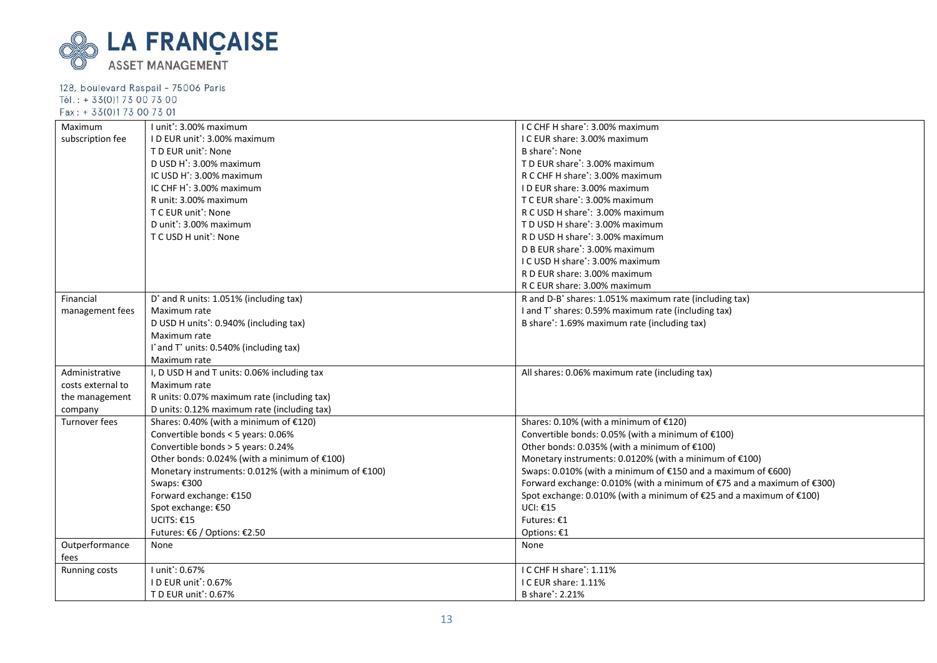

| Maximum           | I unit*: 3.00% maximum                                | I C CHF H share*: 3.00% maximum                                              |
|-------------------|-------------------------------------------------------|------------------------------------------------------------------------------|
| subscription fee  | I D EUR unit*: 3.00% maximum                          | I C EUR share: 3.00% maximum                                                 |
|                   | T D EUR unit*: None                                   | B share <sup>*</sup> : None                                                  |
|                   | D USD H <sup>*</sup> : 3.00% maximum                  | T D EUR share*: 3.00% maximum                                                |
|                   | IC USD H <sup>*</sup> : 3.00% maximum                 | R C CHF H share <sup>*</sup> : 3.00% maximum                                 |
|                   | IC CHF H <sup>*</sup> : 3.00% maximum                 | ID EUR share: 3.00% maximum                                                  |
|                   | R unit: 3.00% maximum                                 | T C EUR share <sup>*</sup> : 3.00% maximum                                   |
|                   | T C EUR unit <sup>*</sup> : None                      | R C USD H share <sup>*</sup> : 3.00% maximum                                 |
|                   | D unit <sup>*</sup> : 3.00% maximum                   | T D USD H share <sup>*</sup> : 3.00% maximum                                 |
|                   | T C USD H unit': None                                 | R D USD H share <sup>*</sup> : 3.00% maximum                                 |
|                   |                                                       | D B EUR share <sup>*</sup> : 3.00% maximum                                   |
|                   |                                                       | I C USD H share <sup>*</sup> : 3.00% maximum                                 |
|                   |                                                       | R D EUR share: 3.00% maximum                                                 |
|                   |                                                       | R C EUR share: 3.00% maximum                                                 |
| Financial         | D' and R units: 1.051% (including tax)                | R and D-B <sup>*</sup> shares: 1.051% maximum rate (including tax)           |
| management fees   | Maximum rate                                          | I and T* shares: 0.59% maximum rate (including tax)                          |
|                   | D USD H units <sup>*</sup> : 0.940% (including tax)   | B share*: 1.69% maximum rate (including tax)                                 |
|                   | Maximum rate                                          |                                                                              |
|                   | I* and T* units: 0.540% (including tax)               |                                                                              |
|                   | Maximum rate                                          |                                                                              |
| Administrative    | I, D USD H and T units: 0.06% including tax           | All shares: 0.06% maximum rate (including tax)                               |
| costs external to | Maximum rate                                          |                                                                              |
| the management    | R units: 0.07% maximum rate (including tax)           |                                                                              |
| company           | D units: 0.12% maximum rate (including tax)           |                                                                              |
| Turnover fees     | Shares: 0.40% (with a minimum of €120)                | Shares: 0.10% (with a minimum of €120)                                       |
|                   | Convertible bonds < 5 years: 0.06%                    | Convertible bonds: 0.05% (with a minimum of $£100$ )                         |
|                   | Convertible bonds > 5 years: 0.24%                    | Other bonds: 0.035% (with a minimum of $£100$ )                              |
|                   | Other bonds: 0.024% (with a minimum of €100)          | Monetary instruments: 0.0120% (with a minimum of €100)                       |
|                   | Monetary instruments: 0.012% (with a minimum of €100) | Swaps: 0.010% (with a minimum of $E$ 150 and a maximum of $E$ 600)           |
|                   | Swaps: €300                                           | Forward exchange: 0.010% (with a minimum of $E$ 75 and a maximum of $E$ 300) |
|                   | Forward exchange: €150                                | Spot exchange: 0.010% (with a minimum of €25 and a maximum of €100)          |
|                   | Spot exchange: €50                                    | UCI: €15                                                                     |
|                   | UCITS: $€15$                                          | Futures: €1                                                                  |
|                   | Futures: €6 / Options: €2.50                          | Options: €1                                                                  |
| Outperformance    | None                                                  | None                                                                         |
| fees              |                                                       |                                                                              |
| Running costs     | I unit*: 0.67%                                        | I C CHF H share*: 1.11%                                                      |
|                   | ID EUR unit*: 0.67%                                   | I C EUR share: 1.11%                                                         |
|                   | T D EUR unit*: 0.67%                                  | B share <sup>*</sup> : 2.21%                                                 |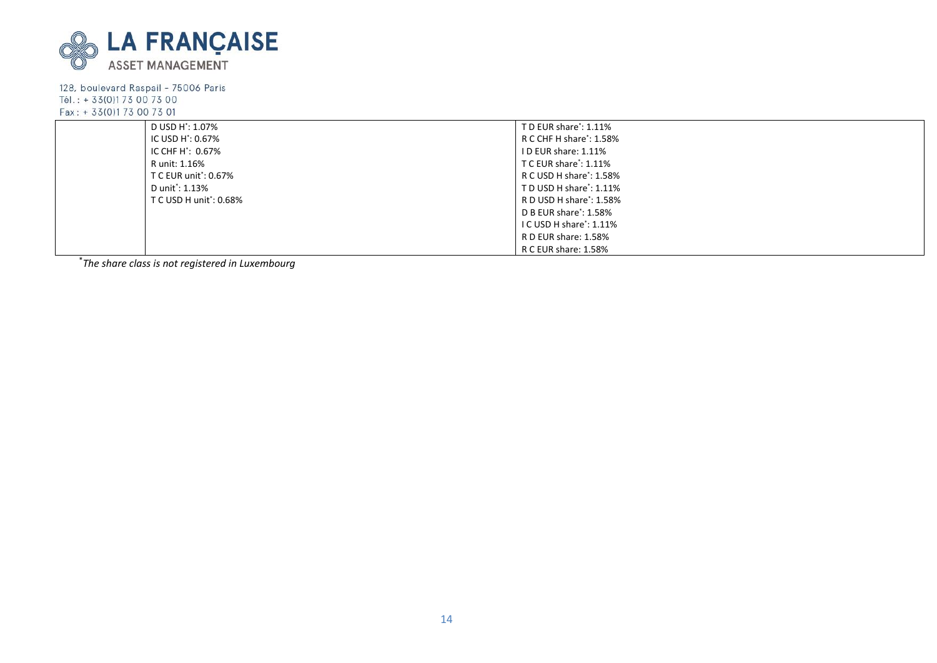

|  | D USD H <sup>*</sup> : 1.07%  | TD EUR share <sup>*</sup> : 1.11%    |  |  |
|--|-------------------------------|--------------------------------------|--|--|
|  | IC USD H <sup>*</sup> : 0.67% | R C CHF H share <sup>*</sup> : 1.58% |  |  |
|  | IC CHF H <sup>*</sup> : 0.67% | ID EUR share: 1.11%                  |  |  |
|  | R unit: 1.16%                 | T C EUR share': 1.11%                |  |  |
|  | T C EUR unit*: 0.67%          | R C USD H share <sup>*</sup> : 1.58% |  |  |
|  | D unit*: 1.13%                | TD USD H share <sup>*</sup> : 1.11%  |  |  |
|  | T C USD H unit': 0.68%        | R D USD H share <sup>*</sup> : 1.58% |  |  |
|  |                               | D B EUR share <sup>*</sup> : 1.58%   |  |  |
|  |                               | I C USD H share <sup>*</sup> : 1.11% |  |  |
|  |                               | R D EUR share: 1.58%                 |  |  |
|  |                               | R C EUR share: 1.58%                 |  |  |

\* *The share class is not registered in Luxembourg*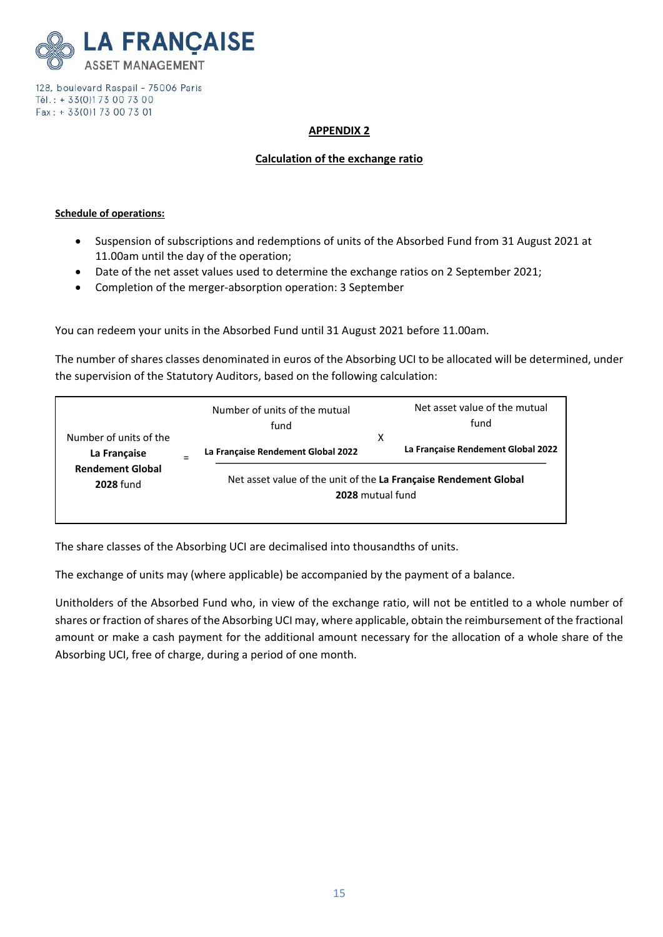

### **APPENDIX 2**

### **Calculation of the exchange ratio**

#### **Schedule of operations:**

- Suspension of subscriptions and redemptions of units of the Absorbed Fund from 31 August 2021 at 11.00am until the day of the operation;
- Date of the net asset values used to determine the exchange ratios on 2 September 2021;
- Completion of the merger-absorption operation: 3 September

You can redeem your units in the Absorbed Fund until 31 August 2021 before 11.00am.

The number of shares classes denominated in euros of the Absorbing UCI to be allocated will be determined, under the supervision of the Statutory Auditors, based on the following calculation:

|                                        | Number of units of the mutual<br>fund                                                | Net asset value of the mutual<br>fund   |
|----------------------------------------|--------------------------------------------------------------------------------------|-----------------------------------------|
| Number of units of the<br>La Française | La Française Rendement Global 2022                                                   | х<br>La Française Rendement Global 2022 |
| <b>Rendement Global</b><br>2028 fund   | Net asset value of the unit of the La Française Rendement Global<br>2028 mutual fund |                                         |

The share classes of the Absorbing UCI are decimalised into thousandths of units.

The exchange of units may (where applicable) be accompanied by the payment of a balance.

Unitholders of the Absorbed Fund who, in view of the exchange ratio, will not be entitled to a whole number of shares or fraction of shares of the Absorbing UCI may, where applicable, obtain the reimbursement of the fractional amount or make a cash payment for the additional amount necessary for the allocation of a whole share of the Absorbing UCI, free of charge, during a period of one month.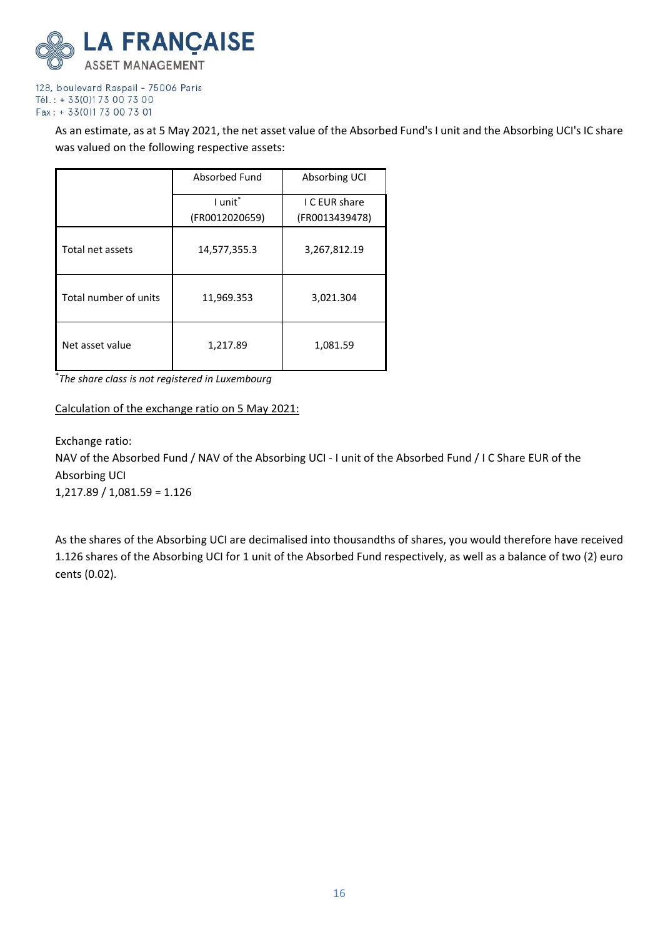

> As an estimate, as at 5 May 2021, the net asset value of the Absorbed Fund's I unit and the Absorbing UCI's IC share was valued on the following respective assets:

|                       | Absorbed Fund  | Absorbing UCI  |  |
|-----------------------|----------------|----------------|--|
|                       | I unit*        | I C EUR share  |  |
|                       | (FR0012020659) | (FR0013439478) |  |
| Total net assets      | 14,577,355.3   | 3,267,812.19   |  |
| Total number of units | 11,969.353     | 3,021.304      |  |
| Net asset value       | 1,217.89       | 1,081.59       |  |

\* *The share class is not registered in Luxembourg*

# Calculation of the exchange ratio on 5 May 2021:

Exchange ratio:

NAV of the Absorbed Fund / NAV of the Absorbing UCI - I unit of the Absorbed Fund / I C Share EUR of the Absorbing UCI

1,217.89 / 1,081.59 = 1.126

As the shares of the Absorbing UCI are decimalised into thousandths of shares, you would therefore have received 1.126 shares of the Absorbing UCI for 1 unit of the Absorbed Fund respectively, as well as a balance of two (2) euro cents (0.02).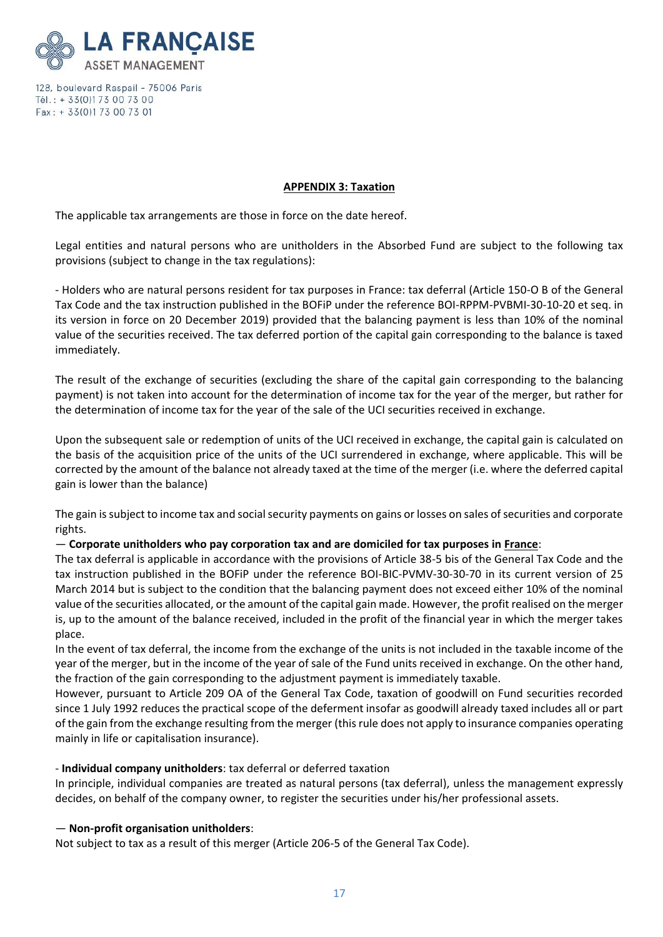

#### **APPENDIX 3: Taxation**

The applicable tax arrangements are those in force on the date hereof.

Legal entities and natural persons who are unitholders in the Absorbed Fund are subject to the following tax provisions (subject to change in the tax regulations):

- Holders who are natural persons resident for tax purposes in France: tax deferral (Article 150-O B of the General Tax Code and the tax instruction published in the BOFiP under the reference BOI-RPPM-PVBMI-30-10-20 et seq. in its version in force on 20 December 2019) provided that the balancing payment is less than 10% of the nominal value of the securities received. The tax deferred portion of the capital gain corresponding to the balance is taxed immediately.

The result of the exchange of securities (excluding the share of the capital gain corresponding to the balancing payment) is not taken into account for the determination of income tax for the year of the merger, but rather for the determination of income tax for the year of the sale of the UCI securities received in exchange.

Upon the subsequent sale or redemption of units of the UCI received in exchange, the capital gain is calculated on the basis of the acquisition price of the units of the UCI surrendered in exchange, where applicable. This will be corrected by the amount of the balance not already taxed at the time of the merger (i.e. where the deferred capital gain is lower than the balance)

The gain is subject to income tax and social security payments on gains or losses on sales of securities and corporate rights.

#### — **Corporate unitholders who pay corporation tax and are domiciled for tax purposes in France**:

The tax deferral is applicable in accordance with the provisions of Article 38-5 bis of the General Tax Code and the tax instruction published in the BOFiP under the reference BOI-BIC-PVMV-30-30-70 in its current version of 25 March 2014 but is subject to the condition that the balancing payment does not exceed either 10% of the nominal value of the securities allocated, or the amount of the capital gain made. However, the profit realised on the merger is, up to the amount of the balance received, included in the profit of the financial year in which the merger takes place.

In the event of tax deferral, the income from the exchange of the units is not included in the taxable income of the year of the merger, but in the income of the year of sale of the Fund units received in exchange. On the other hand, the fraction of the gain corresponding to the adjustment payment is immediately taxable.

However, pursuant to Article 209 OA of the General Tax Code, taxation of goodwill on Fund securities recorded since 1 July 1992 reduces the practical scope of the deferment insofar as goodwill already taxed includes all or part of the gain from the exchange resulting from the merger (this rule does not apply to insurance companies operating mainly in life or capitalisation insurance).

#### - **Individual company unitholders**: tax deferral or deferred taxation

In principle, individual companies are treated as natural persons (tax deferral), unless the management expressly decides, on behalf of the company owner, to register the securities under his/her professional assets.

#### — **Non-profit organisation unitholders**:

Not subject to tax as a result of this merger (Article 206-5 of the General Tax Code).